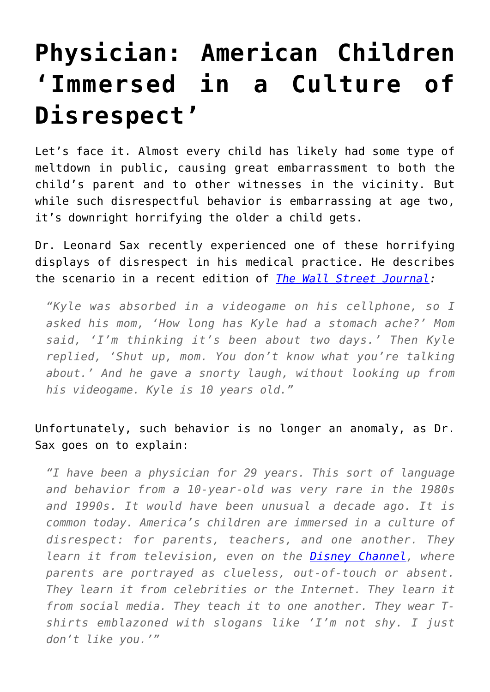# **[Physician: American Children](https://intellectualtakeout.org/2016/12/physician-american-children-immersed-in-a-culture-of-disrespect/) ['Immersed in a Culture of](https://intellectualtakeout.org/2016/12/physician-american-children-immersed-in-a-culture-of-disrespect/) [Disrespect'](https://intellectualtakeout.org/2016/12/physician-american-children-immersed-in-a-culture-of-disrespect/)**

Let's face it. Almost every child has likely had some type of meltdown in public, causing great embarrassment to both the child's parent and to other witnesses in the vicinity. But while such disrespectful behavior is embarrassing at age two, it's downright horrifying the older a child gets.

Dr. Leonard Sax recently experienced one of these horrifying displays of disrespect in his medical practice. He describes the scenario in a recent edition of *[The Wall Street Journal](http://www.wsj.com/articles/parenting-in-the-age-of-awfulness-1450397051):*

*"Kyle was absorbed in a videogame on his cellphone, so I asked his mom, 'How long has Kyle had a stomach ache?' Mom said, 'I'm thinking it's been about two days.' Then Kyle replied, 'Shut up, mom. You don't know what you're talking about.' And he gave a snorty laugh, without looking up from his videogame. Kyle is 10 years old."*

Unfortunately, such behavior is no longer an anomaly, as Dr. Sax goes on to explain:

*"I have been a physician for 29 years. This sort of language and behavior from a 10-year-old was very rare in the 1980s and 1990s. It would have been unusual a decade ago. It is common today. America's children are immersed in a culture of disrespect: for parents, teachers, and one another. They learn it from television, even on the [Disney Channel](http://quotes.wsj.com/DIS), where parents are portrayed as clueless, out-of-touch or absent. They learn it from celebrities or the Internet. They learn it from social media. They teach it to one another. They wear Tshirts emblazoned with slogans like 'I'm not shy. I just don't like you.'"*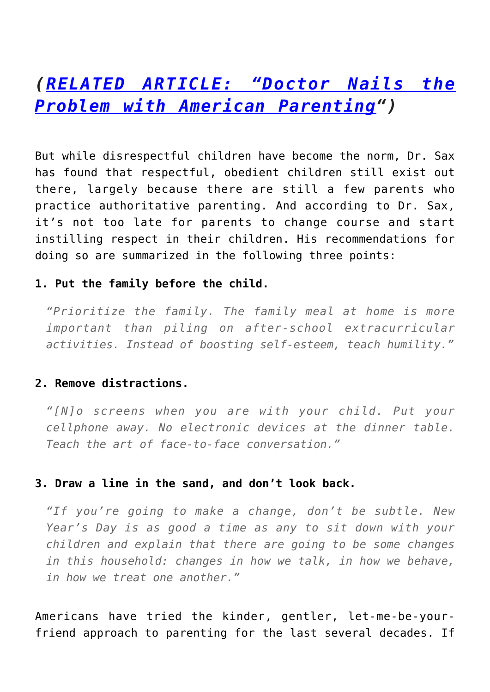## *([RELATED ARTICLE: "Doctor Nails the](https://www.intellectualtakeout.org/blog/doctor-nails-problem-american-parenting) [Problem with American Parenting](https://www.intellectualtakeout.org/blog/doctor-nails-problem-american-parenting)")*

But while disrespectful children have become the norm, Dr. Sax has found that respectful, obedient children still exist out there, largely because there are still a few parents who practice authoritative parenting. And according to Dr. Sax, it's not too late for parents to change course and start instilling respect in their children. His recommendations for doing so are summarized in the following three points:

#### **1. Put the family before the child.**

*"Prioritize the family. The family meal at home is more important than piling on after-school extracurricular activities. Instead of boosting self-esteem, teach humility."*

### **2. Remove distractions.**

*"[N]o screens when you are with your child. Put your cellphone away. No electronic devices at the dinner table. Teach the art of face-to-face conversation."*

#### **3. Draw a line in the sand, and don't look back.**

*"If you're going to make a change, don't be subtle. New Year's Day is as good a time as any to sit down with your children and explain that there are going to be some changes in this household: changes in how we talk, in how we behave, in how we treat one another."*

Americans have tried the kinder, gentler, let-me-be-yourfriend approach to parenting for the last several decades. If